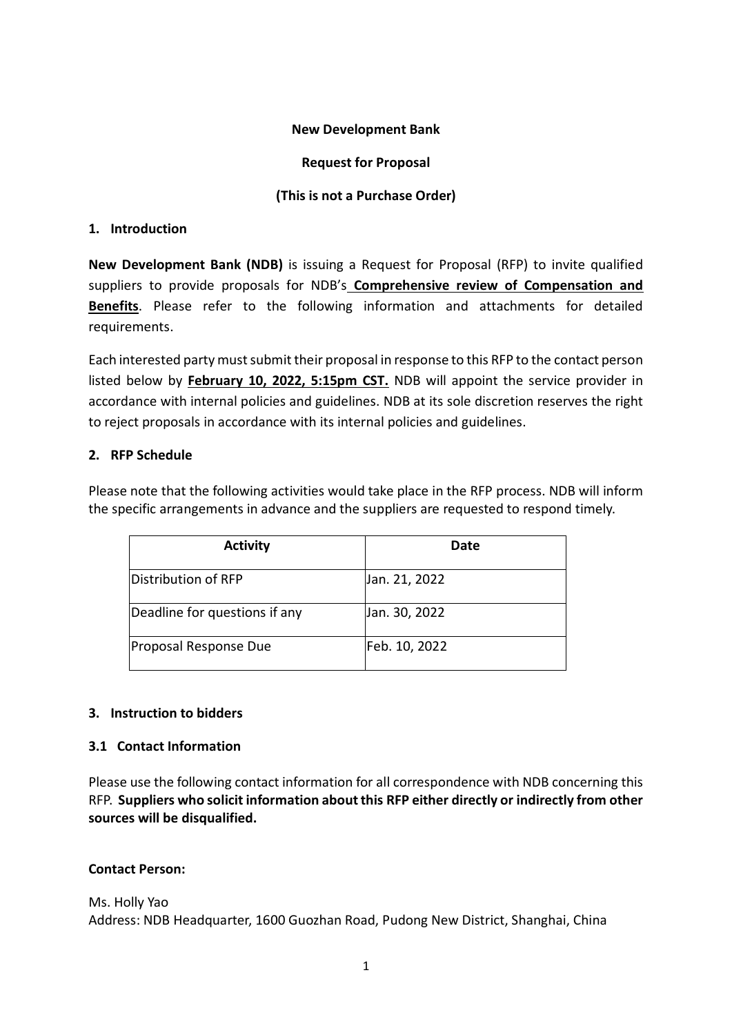#### **New Development Bank**

#### **Request for Proposal**

### **(This is not a Purchase Order)**

#### **1. Introduction**

**New Development Bank (NDB)** is issuing a Request for Proposal (RFP) to invite qualified suppliers to provide proposals for NDB's **Comprehensive review of Compensation and Benefits**. Please refer to the following information and attachments for detailed requirements.

Each interested party must submit their proposal in response to this RFP to the contact person listed below by **February 10, 2022, 5:15pm CST.** NDB will appoint the service provider in accordance with internal policies and guidelines. NDB at its sole discretion reserves the right to reject proposals in accordance with its internal policies and guidelines.

### **2. RFP Schedule**

Please note that the following activities would take place in the RFP process. NDB will inform the specific arrangements in advance and the suppliers are requested to respond timely.

| <b>Activity</b>               | Date          |
|-------------------------------|---------------|
| Distribution of RFP           | Jan. 21, 2022 |
| Deadline for questions if any | Jan. 30, 2022 |
| Proposal Response Due         | Feb. 10, 2022 |

### **3. Instruction to bidders**

### **3.1 Contact Information**

Please use the following contact information for all correspondence with NDB concerning this RFP. **Suppliers who solicit information about this RFP either directly or indirectly from other sources will be disqualified.**

### **Contact Person:**

Ms. Holly Yao Address: NDB Headquarter, 1600 Guozhan Road, Pudong New District, Shanghai, China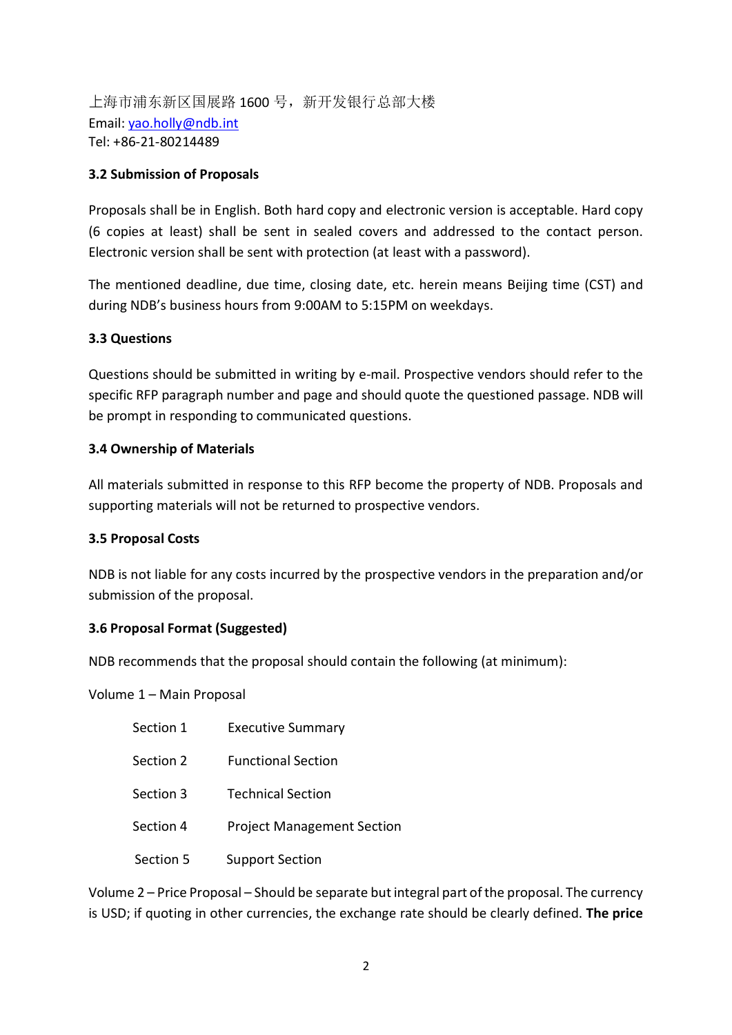上海市浦东新区国展路 1600 号,新开发银行总部大楼 Email: [yao.holly@ndb.int](mailto:yao.holly@ndb.int) Tel: +86-21-80214489

#### **3.2 Submission of Proposals**

Proposals shall be in English. Both hard copy and electronic version is acceptable. Hard copy (6 copies at least) shall be sent in sealed covers and addressed to the contact person. Electronic version shall be sent with protection (at least with a password).

The mentioned deadline, due time, closing date, etc. herein means Beijing time (CST) and during NDB's business hours from 9:00AM to 5:15PM on weekdays.

#### **3.3 Questions**

Questions should be submitted in writing by e-mail. Prospective vendors should refer to the specific RFP paragraph number and page and should quote the questioned passage. NDB will be prompt in responding to communicated questions.

#### **3.4 Ownership of Materials**

All materials submitted in response to this RFP become the property of NDB. Proposals and supporting materials will not be returned to prospective vendors.

#### **3.5 Proposal Costs**

NDB is not liable for any costs incurred by the prospective vendors in the preparation and/or submission of the proposal.

### **3.6 Proposal Format (Suggested)**

NDB recommends that the proposal should contain the following (at minimum):

Volume 1 – Main Proposal

| Section 1 | <b>Executive Summary</b>          |
|-----------|-----------------------------------|
| Section 2 | <b>Functional Section</b>         |
| Section 3 | <b>Technical Section</b>          |
| Section 4 | <b>Project Management Section</b> |
| Section 5 | <b>Support Section</b>            |

Volume 2 – Price Proposal – Should be separate but integral part of the proposal. The currency is USD; if quoting in other currencies, the exchange rate should be clearly defined. **The price**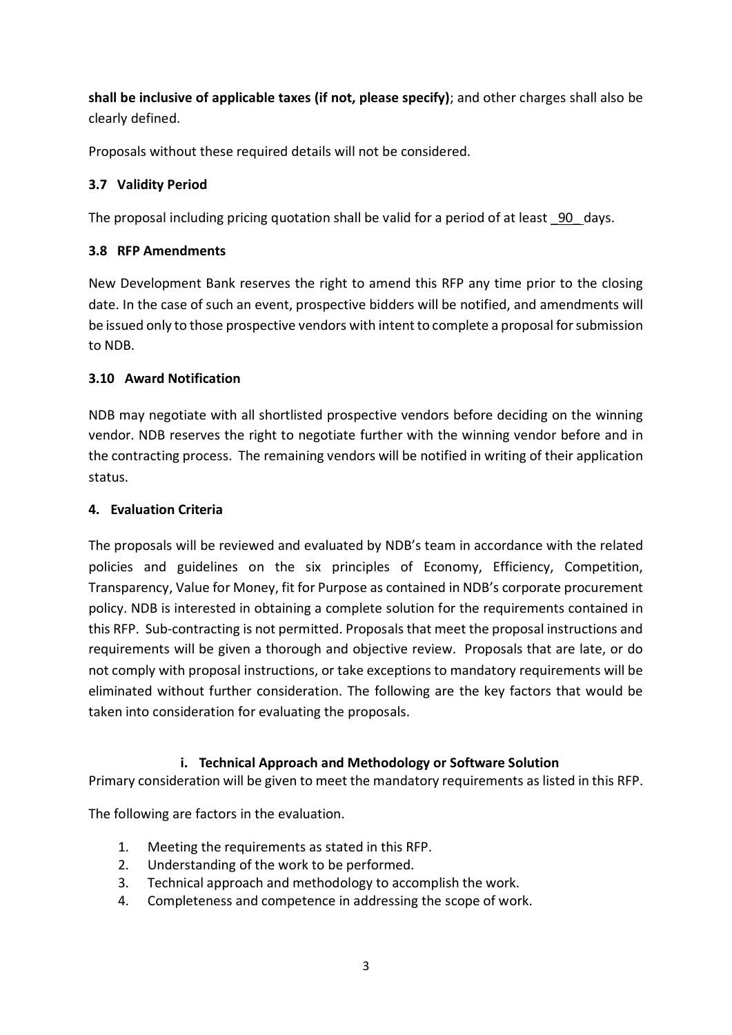**shall be inclusive of applicable taxes (if not, please specify)**; and other charges shall also be clearly defined.

Proposals without these required details will not be considered.

# **3.7 Validity Period**

The proposal including pricing quotation shall be valid for a period of at least 90 days.

# **3.8 RFP Amendments**

New Development Bank reserves the right to amend this RFP any time prior to the closing date. In the case of such an event, prospective bidders will be notified, and amendments will be issued only to those prospective vendors with intent to complete a proposal for submission to NDB.

# **3.10 Award Notification**

NDB may negotiate with all shortlisted prospective vendors before deciding on the winning vendor. NDB reserves the right to negotiate further with the winning vendor before and in the contracting process. The remaining vendors will be notified in writing of their application status.

# **4. Evaluation Criteria**

The proposals will be reviewed and evaluated by NDB's team in accordance with the related policies and guidelines on the six principles of Economy, Efficiency, Competition, Transparency, Value for Money, fit for Purpose as contained in NDB's corporate procurement policy. NDB is interested in obtaining a complete solution for the requirements contained in this RFP. Sub-contracting is not permitted. Proposals that meet the proposal instructions and requirements will be given a thorough and objective review. Proposals that are late, or do not comply with proposal instructions, or take exceptions to mandatory requirements will be eliminated without further consideration. The following are the key factors that would be taken into consideration for evaluating the proposals.

# **i. Technical Approach and Methodology or Software Solution**

Primary consideration will be given to meet the mandatory requirements as listed in this RFP.

The following are factors in the evaluation.

- 1. Meeting the requirements as stated in this RFP.
- 2. Understanding of the work to be performed.
- 3. Technical approach and methodology to accomplish the work.
- 4. Completeness and competence in addressing the scope of work.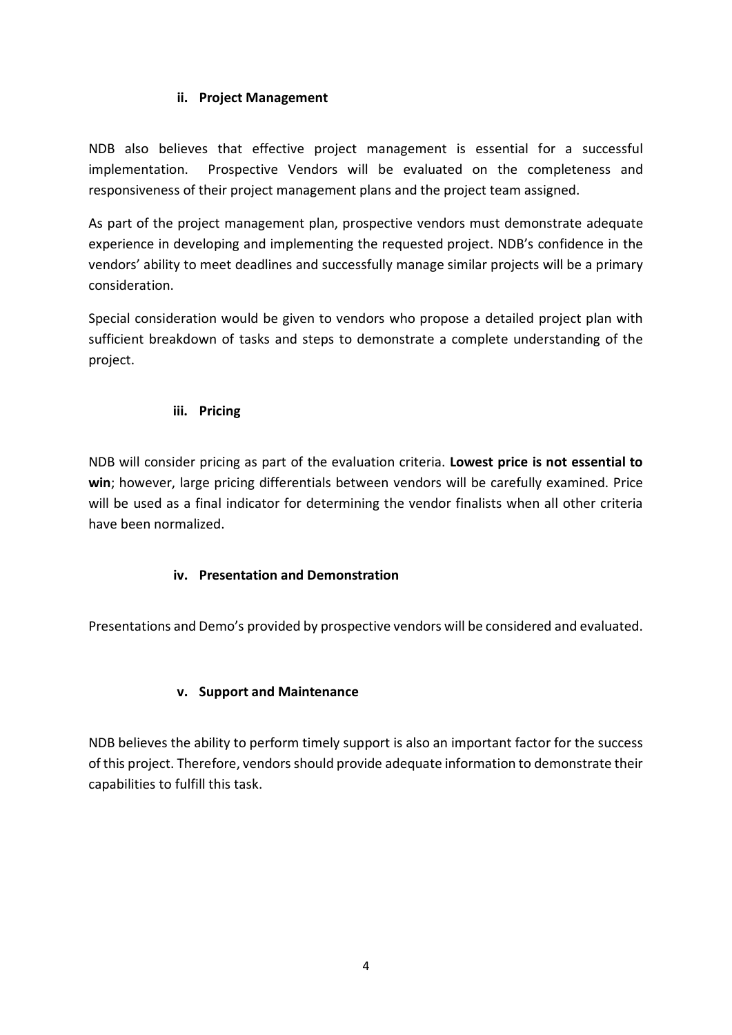### **ii. Project Management**

NDB also believes that effective project management is essential for a successful implementation. Prospective Vendors will be evaluated on the completeness and responsiveness of their project management plans and the project team assigned.

As part of the project management plan, prospective vendors must demonstrate adequate experience in developing and implementing the requested project. NDB's confidence in the vendors' ability to meet deadlines and successfully manage similar projects will be a primary consideration.

Special consideration would be given to vendors who propose a detailed project plan with sufficient breakdown of tasks and steps to demonstrate a complete understanding of the project.

### **iii. Pricing**

NDB will consider pricing as part of the evaluation criteria. **Lowest price is not essential to win**; however, large pricing differentials between vendors will be carefully examined. Price will be used as a final indicator for determining the vendor finalists when all other criteria have been normalized.

# **iv. Presentation and Demonstration**

Presentations and Demo's provided by prospective vendors will be considered and evaluated.

### **v. Support and Maintenance**

NDB believes the ability to perform timely support is also an important factor for the success of this project. Therefore, vendors should provide adequate information to demonstrate their capabilities to fulfill this task.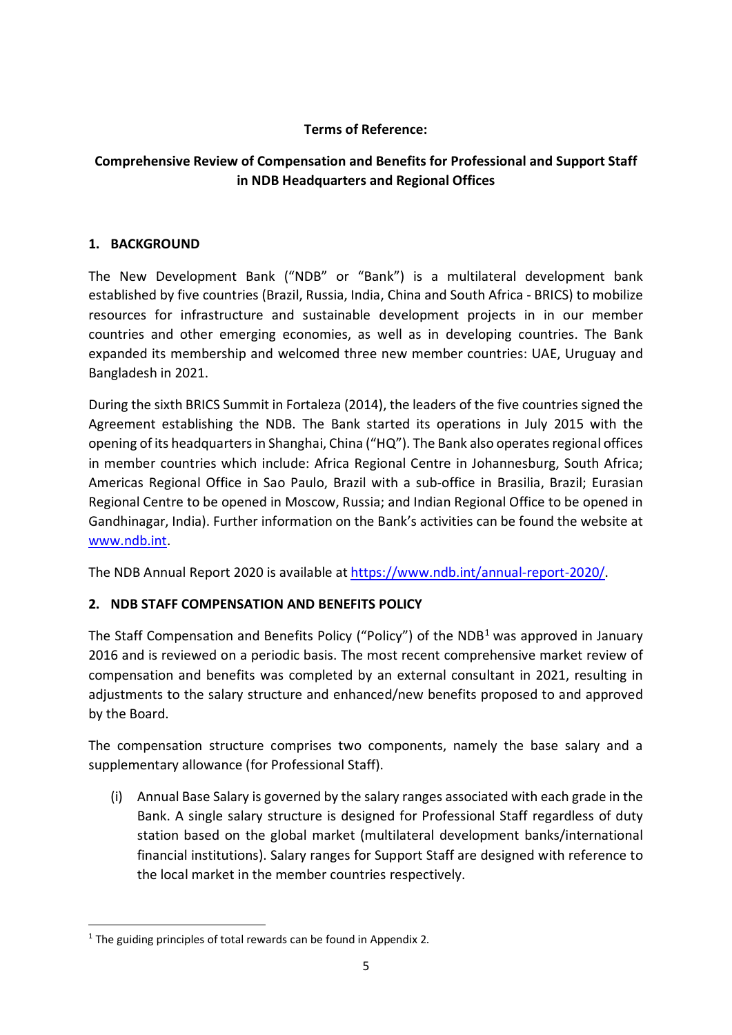### **Terms of Reference:**

# **Comprehensive Review of Compensation and Benefits for Professional and Support Staff in NDB Headquarters and Regional Offices**

### **1. BACKGROUND**

The New Development Bank ("NDB" or "Bank") is a multilateral development bank established by five countries (Brazil, Russia, India, China and South Africa - BRICS) to mobilize resources for infrastructure and sustainable development projects in in our member countries and other emerging economies, as well as in developing countries. The Bank expanded its membership and welcomed three new member countries: UAE, Uruguay and Bangladesh in 2021.

During the sixth BRICS Summit in Fortaleza (2014), the leaders of the five countries signed the Agreement establishing the NDB. The Bank started its operations in July 2015 with the opening of its headquarters in Shanghai, China ("HQ"). The Bank also operates regional offices in member countries which include: Africa Regional Centre in Johannesburg, South Africa; Americas Regional Office in Sao Paulo, Brazil with a sub-office in Brasilia, Brazil; Eurasian Regional Centre to be opened in Moscow, Russia; and Indian Regional Office to be opened in Gandhinagar, India). Further information on the Bank's activities can be found the website at [www.ndb.int.](http://www.ndb.int/)

The NDB Annual Report 2020 is available at https://www.ndb.int/annual-report-2020/.

# **2. NDB STAFF COMPENSATION AND BENEFITS POLICY**

The Staff Compensation and Benefits Policy ("Policy") of the  $NDB<sup>1</sup>$  $NDB<sup>1</sup>$  $NDB<sup>1</sup>$  was approved in January 2016 and is reviewed on a periodic basis. The most recent comprehensive market review of compensation and benefits was completed by an external consultant in 2021, resulting in adjustments to the salary structure and enhanced/new benefits proposed to and approved by the Board.

The compensation structure comprises two components, namely the base salary and a supplementary allowance (for Professional Staff).

(i) Annual Base Salary is governed by the salary ranges associated with each grade in the Bank. A single salary structure is designed for Professional Staff regardless of duty station based on the global market (multilateral development banks/international financial institutions). Salary ranges for Support Staff are designed with reference to the local market in the member countries respectively.

<span id="page-4-0"></span> $1$  The guiding principles of total rewards can be found in Appendix 2.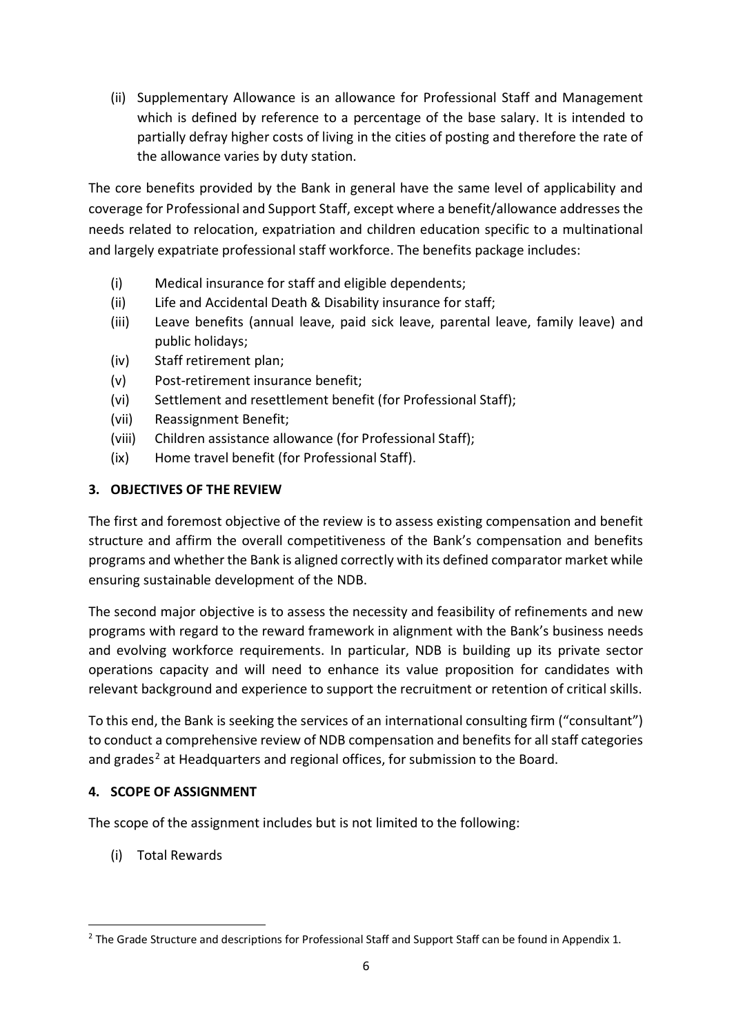(ii) Supplementary Allowance is an allowance for Professional Staff and Management which is defined by reference to a percentage of the base salary. It is intended to partially defray higher costs of living in the cities of posting and therefore the rate of the allowance varies by duty station.

The core benefits provided by the Bank in general have the same level of applicability and coverage for Professional and Support Staff, except where a benefit/allowance addresses the needs related to relocation, expatriation and children education specific to a multinational and largely expatriate professional staff workforce. The benefits package includes:

- (i) Medical insurance for staff and eligible dependents;
- (ii) Life and Accidental Death & Disability insurance for staff;
- (iii) Leave benefits (annual leave, paid sick leave, parental leave, family leave) and public holidays;
- (iv) Staff retirement plan;
- (v) Post-retirement insurance benefit;
- (vi) Settlement and resettlement benefit (for Professional Staff);
- (vii) Reassignment Benefit;
- (viii) Children assistance allowance (for Professional Staff);
- (ix) Home travel benefit (for Professional Staff).

# **3. OBJECTIVES OF THE REVIEW**

The first and foremost objective of the review is to assess existing compensation and benefit structure and affirm the overall competitiveness of the Bank's compensation and benefits programs and whether the Bank is aligned correctly with its defined comparator market while ensuring sustainable development of the NDB.

The second major objective is to assess the necessity and feasibility of refinements and new programs with regard to the reward framework in alignment with the Bank's business needs and evolving workforce requirements. In particular, NDB is building up its private sector operations capacity and will need to enhance its value proposition for candidates with relevant background and experience to support the recruitment or retention of critical skills.

To this end, the Bank is seeking the services of an international consulting firm ("consultant") to conduct a comprehensive review of NDB compensation and benefits for all staff categories and grades<sup>[2](#page-5-0)</sup> at Headquarters and regional offices, for submission to the Board.

# **4. SCOPE OF ASSIGNMENT**

The scope of the assignment includes but is not limited to the following:

(i) Total Rewards

<span id="page-5-0"></span><sup>&</sup>lt;sup>2</sup> The Grade Structure and descriptions for Professional Staff and Support Staff can be found in Appendix 1.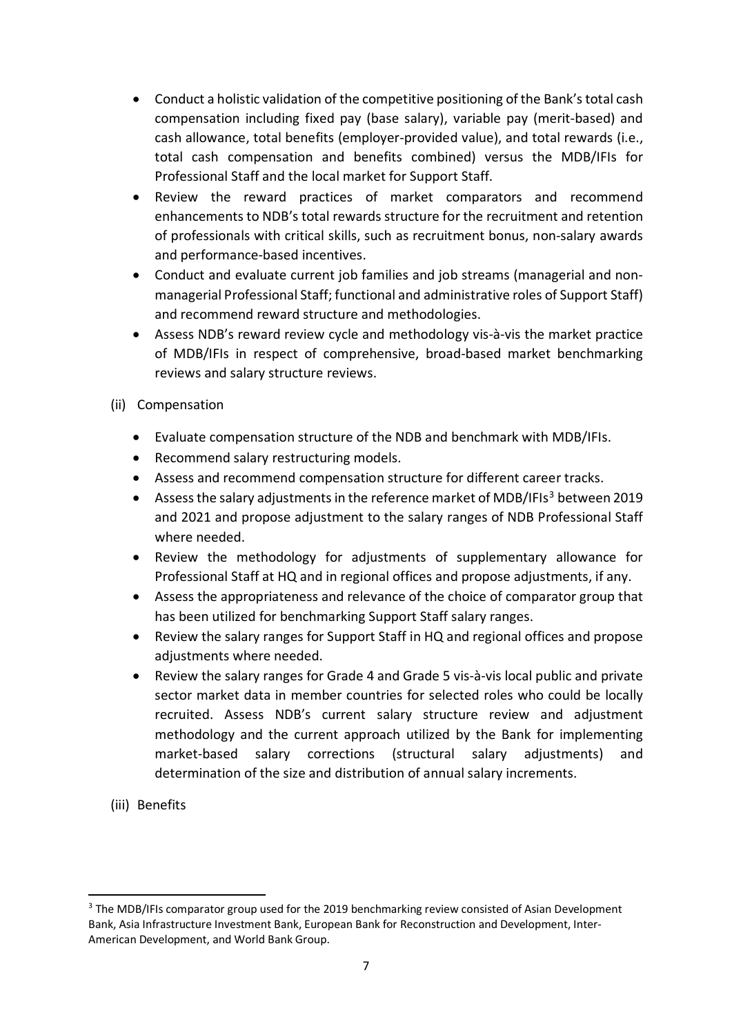- Conduct a holistic validation of the competitive positioning of the Bank's total cash compensation including fixed pay (base salary), variable pay (merit-based) and cash allowance, total benefits (employer-provided value), and total rewards (i.e., total cash compensation and benefits combined) versus the MDB/IFIs for Professional Staff and the local market for Support Staff.
- Review the reward practices of market comparators and recommend enhancements to NDB's total rewards structure for the recruitment and retention of professionals with critical skills, such as recruitment bonus, non-salary awards and performance-based incentives.
- Conduct and evaluate current job families and job streams (managerial and nonmanagerial Professional Staff; functional and administrative roles of Support Staff) and recommend reward structure and methodologies.
- Assess NDB's reward review cycle and methodology vis-à-vis the market practice of MDB/IFIs in respect of comprehensive, broad-based market benchmarking reviews and salary structure reviews.
- (ii) Compensation
	- Evaluate compensation structure of the NDB and benchmark with MDB/IFIs.
	- Recommend salary restructuring models.
	- Assess and recommend compensation structure for different career tracks.
	- Assess the salary adjustments in the reference market of MDB/IFIs<sup>[3](#page-6-0)</sup> between 2019 and 2021 and propose adjustment to the salary ranges of NDB Professional Staff where needed.
	- Review the methodology for adjustments of supplementary allowance for Professional Staff at HQ and in regional offices and propose adjustments, if any.
	- Assess the appropriateness and relevance of the choice of comparator group that has been utilized for benchmarking Support Staff salary ranges.
	- Review the salary ranges for Support Staff in HQ and regional offices and propose adjustments where needed.
	- Review the salary ranges for Grade 4 and Grade 5 vis-à-vis local public and private sector market data in member countries for selected roles who could be locally recruited. Assess NDB's current salary structure review and adjustment methodology and the current approach utilized by the Bank for implementing market-based salary corrections (structural salary adjustments) and determination of the size and distribution of annual salary increments.
- (iii) Benefits

<span id="page-6-0"></span><sup>&</sup>lt;sup>3</sup> The MDB/IFIs comparator group used for the 2019 benchmarking review consisted of Asian Development Bank, Asia Infrastructure Investment Bank, European Bank for Reconstruction and Development, Inter-American Development, and World Bank Group.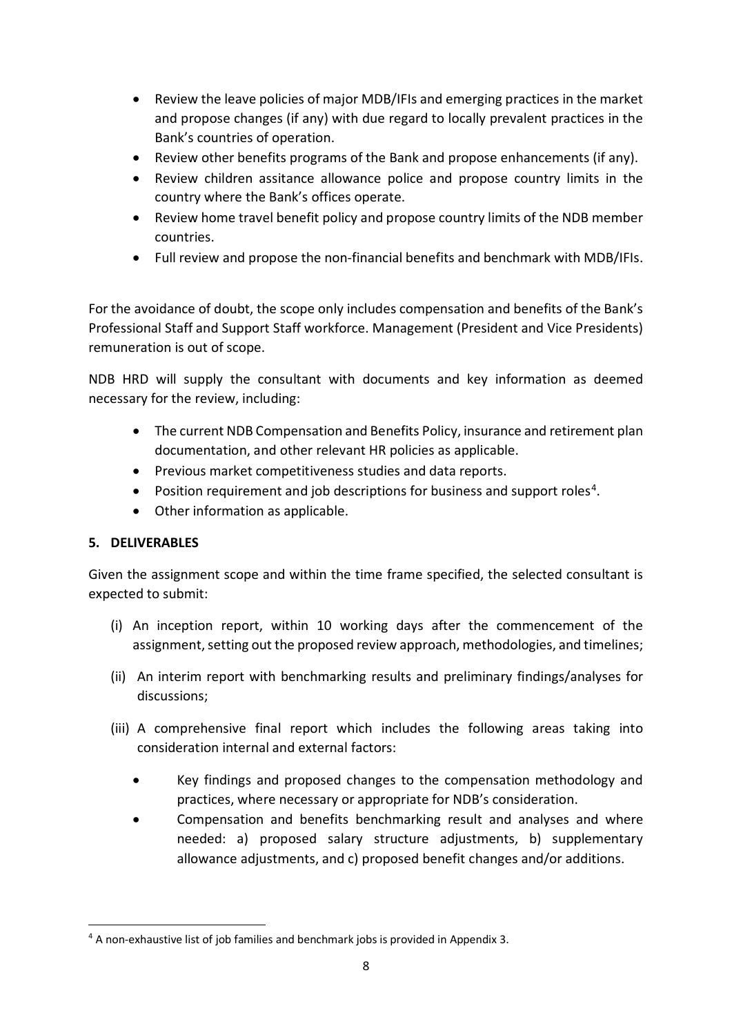- Review the leave policies of major MDB/IFIs and emerging practices in the market and propose changes (if any) with due regard to locally prevalent practices in the Bank's countries of operation.
- Review other benefits programs of the Bank and propose enhancements (if any).
- Review children assitance allowance police and propose country limits in the country where the Bank's offices operate.
- Review home travel benefit policy and propose country limits of the NDB member countries.
- Full review and propose the non-financial benefits and benchmark with MDB/IFIs.

For the avoidance of doubt, the scope only includes compensation and benefits of the Bank's Professional Staff and Support Staff workforce. Management (President and Vice Presidents) remuneration is out of scope.

NDB HRD will supply the consultant with documents and key information as deemed necessary for the review, including:

- The current NDB Compensation and Benefits Policy, insurance and retirement plan documentation, and other relevant HR policies as applicable.
- Previous market competitiveness studies and data reports.
- Position requirement and job descriptions for business and support roles<sup>[4](#page-7-0)</sup>.
- Other information as applicable.

### **5. DELIVERABLES**

Given the assignment scope and within the time frame specified, the selected consultant is expected to submit:

- (i) An inception report, within 10 working days after the commencement of the assignment, setting out the proposed review approach, methodologies, and timelines;
- (ii) An interim report with benchmarking results and preliminary findings/analyses for discussions;
- (iii) A comprehensive final report which includes the following areas taking into consideration internal and external factors:
	- Key findings and proposed changes to the compensation methodology and practices, where necessary or appropriate for NDB's consideration.
	- Compensation and benefits benchmarking result and analyses and where needed: a) proposed salary structure adjustments, b) supplementary allowance adjustments, and c) proposed benefit changes and/or additions.

<span id="page-7-0"></span> <sup>4</sup> <sup>A</sup> non-exhaustive list of job families and benchmark jobs is provided in Appendix 3.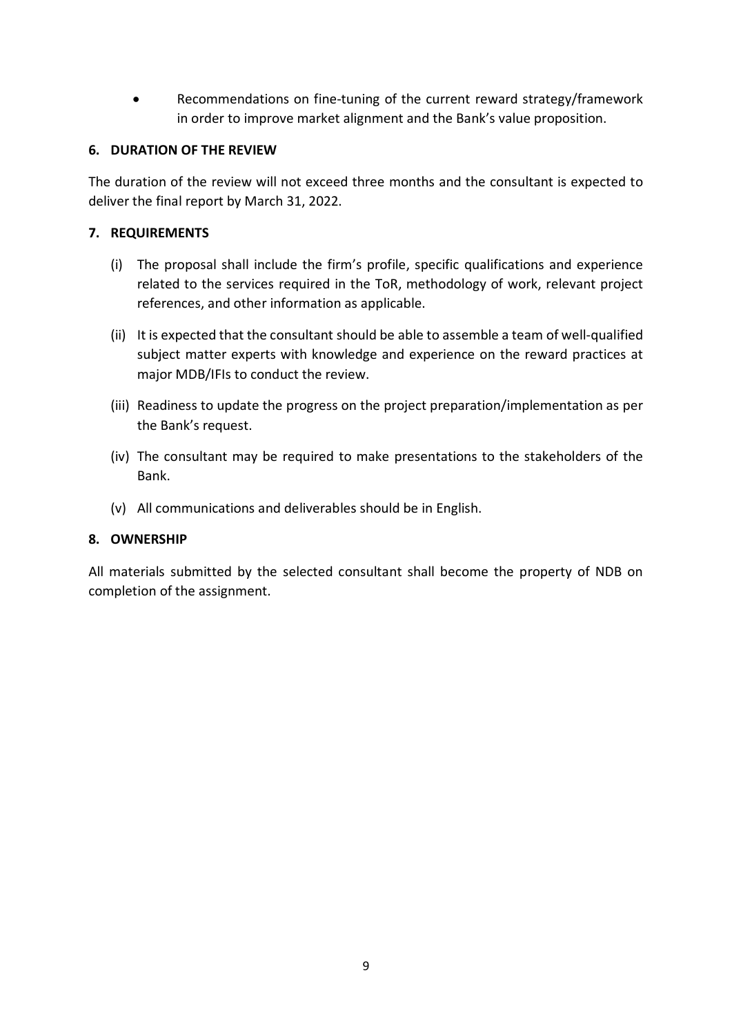• Recommendations on fine-tuning of the current reward strategy/framework in order to improve market alignment and the Bank's value proposition.

### **6. DURATION OF THE REVIEW**

The duration of the review will not exceed three months and the consultant is expected to deliver the final report by March 31, 2022.

#### **7. REQUIREMENTS**

- (i) The proposal shall include the firm's profile, specific qualifications and experience related to the services required in the ToR, methodology of work, relevant project references, and other information as applicable.
- (ii) It is expected that the consultant should be able to assemble a team of well-qualified subject matter experts with knowledge and experience on the reward practices at major MDB/IFIs to conduct the review.
- (iii) Readiness to update the progress on the project preparation/implementation as per the Bank's request.
- (iv) The consultant may be required to make presentations to the stakeholders of the Bank.
- (v) All communications and deliverables should be in English.

#### **8. OWNERSHIP**

All materials submitted by the selected consultant shall become the property of NDB on completion of the assignment.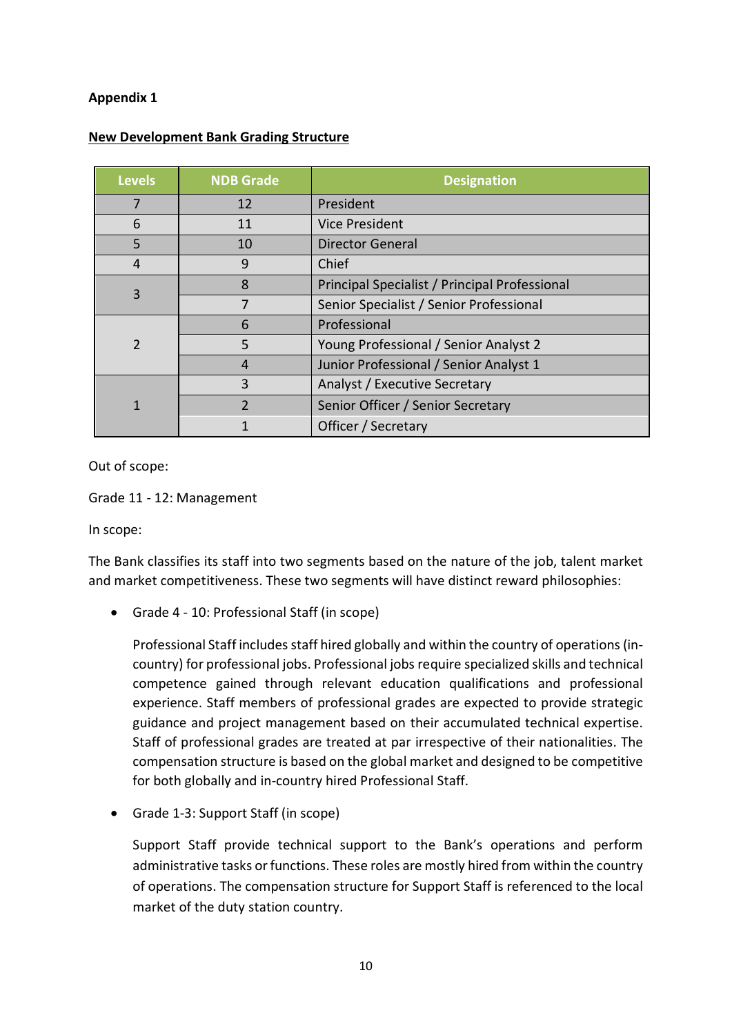### **Appendix 1**

| <b>Levels</b> | <b>NDB Grade</b> | <b>Designation</b>                            |
|---------------|------------------|-----------------------------------------------|
|               | 12               | President                                     |
| 6             | 11               | <b>Vice President</b>                         |
| 5             | 10               | <b>Director General</b>                       |
| 4             | 9                | Chief                                         |
| 3             | 8                | Principal Specialist / Principal Professional |
|               | 7                | Senior Specialist / Senior Professional       |
| $\mathcal{P}$ | 6                | Professional                                  |
|               | 5                | Young Professional / Senior Analyst 2         |
|               | 4                | Junior Professional / Senior Analyst 1        |
|               | 3                | Analyst / Executive Secretary                 |
|               | $\overline{2}$   | Senior Officer / Senior Secretary             |
|               |                  | Officer / Secretary                           |

### **New Development Bank Grading Structure**

Out of scope:

Grade 11 - 12: Management

In scope:

The Bank classifies its staff into two segments based on the nature of the job, talent market and market competitiveness. These two segments will have distinct reward philosophies:

• Grade 4 - 10: Professional Staff (in scope)

Professional Staff includes staff hired globally and within the country of operations (incountry) for professional jobs. Professional jobs require specialized skills and technical competence gained through relevant education qualifications and professional experience. Staff members of professional grades are expected to provide strategic guidance and project management based on their accumulated technical expertise. Staff of professional grades are treated at par irrespective of their nationalities. The compensation structure is based on the global market and designed to be competitive for both globally and in-country hired Professional Staff.

• Grade 1-3: Support Staff (in scope)

Support Staff provide technical support to the Bank's operations and perform administrative tasks or functions. These roles are mostly hired from within the country of operations. The compensation structure for Support Staff is referenced to the local market of the duty station country.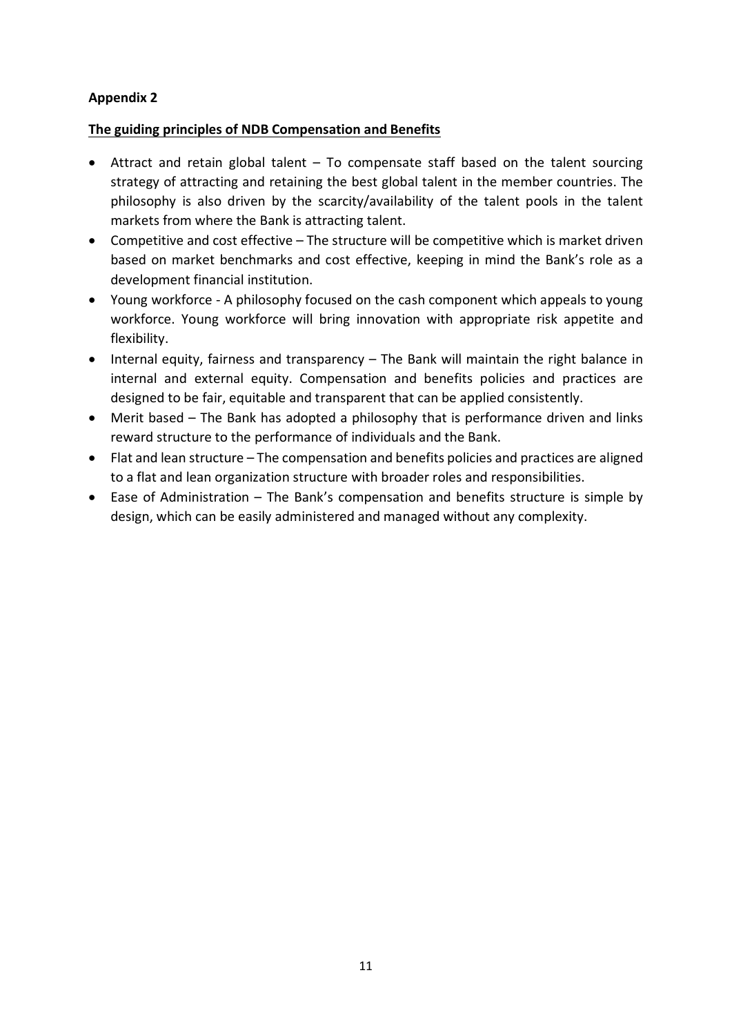### **Appendix 2**

### **The guiding principles of NDB Compensation and Benefits**

- Attract and retain global talent To compensate staff based on the talent sourcing strategy of attracting and retaining the best global talent in the member countries. The philosophy is also driven by the scarcity/availability of the talent pools in the talent markets from where the Bank is attracting talent.
- Competitive and cost effective The structure will be competitive which is market driven based on market benchmarks and cost effective, keeping in mind the Bank's role as a development financial institution.
- Young workforce A philosophy focused on the cash component which appeals to young workforce. Young workforce will bring innovation with appropriate risk appetite and flexibility.
- Internal equity, fairness and transparency The Bank will maintain the right balance in internal and external equity. Compensation and benefits policies and practices are designed to be fair, equitable and transparent that can be applied consistently.
- Merit based The Bank has adopted a philosophy that is performance driven and links reward structure to the performance of individuals and the Bank.
- Flat and lean structure The compensation and benefits policies and practices are aligned to a flat and lean organization structure with broader roles and responsibilities.
- Ease of Administration The Bank's compensation and benefits structure is simple by design, which can be easily administered and managed without any complexity.